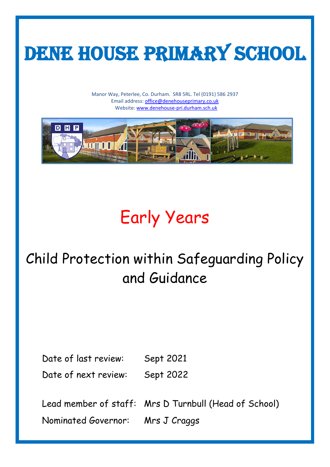

Manor Way, Peterlee, Co. Durham. SR8 5RL. Tel (0191) 586 2937 Email address[: office@denehouseprimary.co.uk](mailto:office@denehouseprimary.co.uk) Website: [www.denehouse-pri.durham.sch.uk](http://www.denehouse-pri.durham.sch.uk/)



# Early Years

# Child Protection within Safeguarding Policy and Guidance

Date of last review: Sept 2021 Date of next review: Sept 2022

Lead member of staff: Mrs D Turnbull (Head of School) Nominated Governor: Mrs J Craggs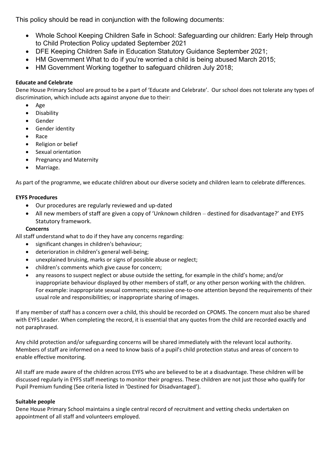This policy should be read in conjunction with the following documents:

- Whole School Keeping Children Safe in School: Safeguarding our children: Early Help through to Child Protection Policy updated September 2021
- DFE Keeping Children Safe in Education Statutory Guidance September 2021;
- HM Government What to do if you're worried a child is being abused March 2015;
- HM Government Working together to safeguard children July 2018;

# **Educate and Celebrate**

Dene House Primary School are proud to be a part of 'Educate and Celebrate'. Our school does not tolerate any types of discrimination, which include acts against anyone due to their:

- Age
- Disability
- Gender
- Gender identity
- Race
- Religion or belief
- Sexual orientation
- Pregnancy and Maternity
- Marriage.

As part of the programme, we educate children about our diverse society and children learn to celebrate differences.

# **EYFS Procedures**

- Our procedures are regularly reviewed and up-dated
- All new members of staff are given a copy of 'Unknown children *–* destined for disadvantage?' and EYFS Statutory framework.

# **Concerns**

All staff understand what to do if they have any concerns regarding:

- significant changes in children's behaviour;
- deterioration in children's general well-being;
- unexplained bruising, marks or signs of possible abuse or neglect;
- children's comments which give cause for concern;
- any reasons to suspect neglect or abuse outside the setting, for example in the child's home; and/or inappropriate behaviour displayed by other members of staff, or any other person working with the children. For example: inappropriate sexual comments; excessive one-to-one attention beyond the requirements of their usual role and responsibilities; or inappropriate sharing of images.

If any member of staff has a concern over a child, this should be recorded on CPOMS. The concern must also be shared with EYFS Leader. When completing the record, it is essential that any quotes from the child are recorded exactly and not paraphrased.

Any child protection and/or safeguarding concerns will be shared immediately with the relevant local authority. Members of staff are informed on a need to know basis of a pupil's child protection status and areas of concern to enable effective monitoring.

All staff are made aware of the children across EYFS who are believed to be at a disadvantage. These children will be discussed regularly in EYFS staff meetings to monitor their progress. These children are not just those who qualify for Pupil Premium funding (See criteria listed in 'Destined for Disadvantaged').

# **Suitable people**

Dene House Primary School maintains a single central record of recruitment and vetting checks undertaken on appointment of all staff and volunteers employed.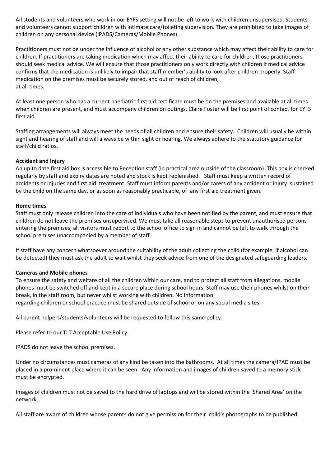All students and volunteers who work in our EYFS setting will not be left to work with children unsupervised. Students and volunteers cannot support children with intimate care/toileting supervision. They are prohibited to take images of children on any personal device (IPADS/Cameras/Mobile Phones).

Practitioners must not be under the influence of alcohol or any other substance which may affect their ability to care for children. If practitioners are taking medication which may affect their ability to care for children, those practitioners should seek medical advice. We will ensure that those practitioners only work directly with children if medical advice confirms that the medication is unlikely to impair that staff member's ability to look after children properly. Staff medication on the premises must be securely stored, and out of reach of children, at all times.

At least one person who has a current paediatric first aid certificate must be on the premises and available at all times when children are present, and must accompany children on outings. Claire Foster will be first point of contact for EYFS first aid.

Staffing arrangements will always meet the needs of all children and ensure their safety. Children will usually be within sight and hearing of staff and will always be within sight or hearing. We always adhere to the statutory guidance for staff/child ratios.

#### **Accident and Injury**

An up to date first aid box is accessible to Reception staff (in practical area outside of the classroom). This box is checked regularly by staff and expiry dates are noted and stock is kept replenished. Staff must keep a written record of accidents or injuries and first aid treatment. Staff must inform parents and/or carers of any accident or injury sustained by the child on the same day, or as soon as reasonably practicable, of any first aid treatment given.

#### **Home times**

Staff must only release children into the care of individuals who have been notified by the parent, and must ensure that children do not leave the premises unsupervised. We must take all reasonable steps to prevent unauthorised persons entering the premises; all visitors must report to the school office to sign in and cannot be left to walk through the school premises unaccompanied by a member of staff.

If staff have any concern whatsoever around the suitability of the adult collecting the child (for example, if alcohol can be detected) they must ask the adult to wait whilst they seek advice from one of the designated safeguarding leaders.

# **Cameras and Mobile phones**

To ensure the safety and welfare of all the children within our care, and to protect all staff from allegations, mobile phones must be switched off and kept in a secure place during school hours. Staff may use their phones whilst on their break, in the staff room, but never whilst working with children. No information regarding children or school practice must be shared outside of school or on any social media sites.

All parent helpers/students/volunteers will be requested to follow this same policy.

Please refer to our TLT Acceptable Use Policy.

IPADS do not leave the school premises.

Under no circumstances must cameras of any kind be taken into the bathrooms. At all times the camera/IPAD must be placed in a prominent place where it can be seen. Any information and images of children saved to a memory stick must be encrypted.

Images of children must not be saved to the hard drive of laptops and will be stored within the 'Shared Area' on the network.

All staff are aware of children whose parents do not give permission for their child's photographs to be published.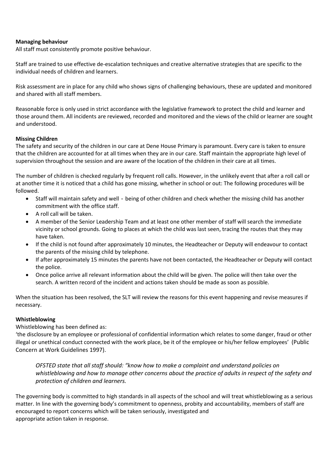#### **Managing behaviour**

All staff must consistently promote positive behaviour.

Staff are trained to use effective de-escalation techniques and creative alternative strategies that are specific to the individual needs of children and learners.

Risk assessment are in place for any child who shows signs of challenging behaviours, these are updated and monitored and shared with all staff members.

Reasonable force is only used in strict accordance with the legislative framework to protect the child and learner and those around them. All incidents are reviewed, recorded and monitored and the views of the child or learner are sought and understood.

#### **Missing Children**

The safety and security of the children in our care at Dene House Primary is paramount. Every care is taken to ensure that the children are accounted for at all times when they are in our care. Staff maintain the appropriate high level of supervision throughout the session and are aware of the location of the children in their care at all times.

The number of children is checked regularly by frequent roll calls. However, in the unlikely event that after a roll call or at another time it is noticed that a child has gone missing, whether in school or out: The following procedures will be followed.

- Staff will maintain safety and well‐being of other children and check whether the missing child has another commitment with the office staff.
- A roll call will be taken.
- A member of the Senior Leadership Team and at least one other member of staff will search the immediate vicinity or school grounds. Going to places at which the child was last seen, tracing the routes that they may have taken.
- If the child is not found after approximately 10 minutes, the Headteacher or Deputy will endeavour to contact the parents of the missing child by telephone.
- If after approximately 15 minutes the parents have not been contacted, the Headteacher or Deputy will contact the police.
- Once police arrive all relevant information about the child will be given. The police will then take over the search. A written record of the incident and actions taken should be made as soon as possible.

When the situation has been resolved, the SLT will review the reasons for this event happening and revise measures if necessary.

#### **Whistleblowing**

Whistleblowing has been defined as:

'the disclosure by an employee or professional of confidential information which relates to some danger, fraud or other illegal or unethical conduct connected with the work place, be it of the employee or his/her fellow employees' (Public Concern at Work Guidelines 1997).

*OFSTED state that all staff should: "know how to make a complaint and understand policies on whistleblowing and how to manage other concerns about the practice of adults in respect of the safety and protection of children and learners.*

The governing body is committed to high standards in all aspects of the school and will treat whistleblowing as a serious matter. In line with the governing body's commitment to openness, probity and accountability, members of staff are encouraged to report concerns which will be taken seriously, investigated and appropriate action taken in response.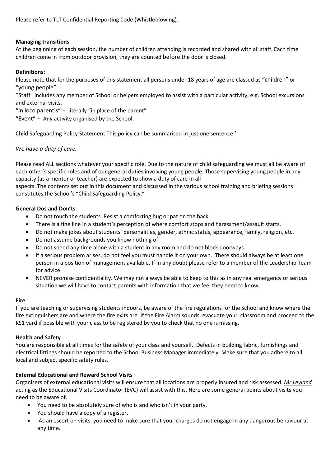Please refer to TLT Confidential Reporting Code (Whistleblowing).

# **Managing transitions**

At the beginning of each session, the number of children attending is recorded and shared with all staff. Each time children come in from outdoor provision, they are counted before the door is closed.

#### **Definitions:**

Please note that for the purposes of this statement all persons under 18 years of age are classed as "children" or "young people".

"Staff" includes any member of School or helpers employed to assist with a particular activity, e.g. School excursions and external visits.

"in loco parentis" – literally "in place of the parent"

"Event" – Any activity organised by the School.

Child Safeguarding Policy Statement This policy can be summarised in just one sentence:'

#### *We have a duty of care.*

Please read ALL sections whatever your specific role. Due to the nature of child safeguarding we must all be aware of each other's specific roles and of our general duties involving young people. Those supervising young people in any capacity (as a mentor or teacher) are expected to show a duty of care in all

aspects. The contents set out in this document and discussed in the various school training and briefing sessions constitutes the School's "Child Safeguarding Policy."

#### **General Dos and Don'ts**

- Do not touch the students. Resist a comforting hug or pat on the back.
- There is a fine line in a student's perception of where comfort stops and harassment/assault starts.
- Do not make jokes about students' personalities, gender, ethnic status, appearance, family, religion, etc.
- Do not assume backgrounds you know nothing of.
- Do not spend any time alone with a student in any room and do not block doorways.
- If a serious problem arises, do not feel you must handle it on your own. There should always be at least one person in a position of management available. If in any doubt please refer to a member of the Leadership Team for advice.
- NEVER promise confidentiality. We may not always be able to keep to this as in any real emergency or serious situation we will have to contact parents with information that we feel they need to know.

#### **Fire**

If you are teaching or supervising students indoors, be aware of the fire regulations for the School and know where the fire extinguishers are and where the fire exits are. If the Fire Alarm sounds, evacuate your classroom and proceed to the KS1 yard if possible with your class to be registered by you to check that no one is missing.

#### **Health and Safety**

You are responsible at all times for the safety of your class and yourself. Defects in building fabric, furnishings and electrical fittings should be reported to the School Business Manager immediately. Make sure that you adhere to all local and subject specific safety rules.

#### **External Educational and Reward School Visits**

Organisers of external educational visits will ensure that all locations are properly insured and risk assessed. *Mr Leyland* acting as the Educational Visits Coordinator (EVC) will assist with this. Here are some general points about visits you need to be aware of.

- You need to be absolutely sure of who is and who isn't in your party.
- You should have a copy of a register.
- As an escort on visits, you need to make sure that your charges do not engage in any dangerous behaviour at any time.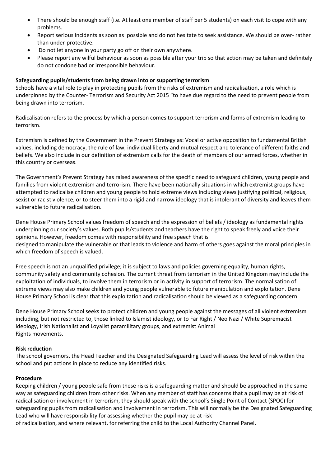- There should be enough staff (i.e. At least one member of staff per 5 students) on each visit to cope with any problems.
- Report serious incidents as soon as possible and do not hesitate to seek assistance. We should be over- rather than under-protective.
- Do not let anyone in your party go off on their own anywhere.
- Please report any wilful behaviour as soon as possible after your trip so that action may be taken and definitely do not condone bad or irresponsible behaviour.

# **Safeguarding pupils/students from being drawn into or supporting terrorism**

Schools have a vital role to play in protecting pupils from the risks of extremism and radicalisation, a role which is underpinned by the Counter- Terrorism and Security Act 2015 "to have due regard to the need to prevent people from being drawn into terrorism.

Radicalisation refers to the process by which a person comes to support terrorism and forms of extremism leading to terrorism.

Extremism is defined by the Government in the Prevent Strategy as: Vocal or active opposition to fundamental British values, including democracy, the rule of law, individual liberty and mutual respect and tolerance of different faiths and beliefs. We also include in our definition of extremism calls for the death of members of our armed forces, whether in this country or overseas.

The Government's Prevent Strategy has raised awareness of the specific need to safeguard children, young people and families from violent extremism and terrorism. There have been nationally situations in which extremist groups have attempted to radicalise children and young people to hold extreme views including views justifying political, religious, sexist or racist violence, or to steer them into a rigid and narrow ideology that is intolerant of diversity and leaves them vulnerable to future radicalisation.

Dene House Primary School values freedom of speech and the expression of beliefs / ideology as fundamental rights underpinning our society's values. Both pupils/students and teachers have the right to speak freely and voice their opinions. However, freedom comes with responsibility and free speech that is designed to manipulate the vulnerable or that leads to violence and harm of others goes against the moral principles in which freedom of speech is valued.

Free speech is not an unqualified privilege; it is subject to laws and policies governing equality, human rights, community safety and community cohesion. The current threat from terrorism in the United Kingdom may include the exploitation of individuals, to involve them in terrorism or in activity in support of terrorism. The normalisation of extreme views may also make children and young people vulnerable to future manipulation and exploitation. Dene House Primary School is clear that this exploitation and radicalisation should be viewed as a safeguarding concern.

Dene House Primary School seeks to protect children and young people against the messages of all violent extremism including, but not restricted to, those linked to Islamist ideology, or to Far Right / Neo Nazi / White Supremacist ideology, Irish Nationalist and Loyalist paramilitary groups, and extremist Animal Rights movements.

# **Risk reduction**

The school governors, the Head Teacher and the Designated Safeguarding Lead will assess the level of risk within the school and put actions in place to reduce any identified risks.

# **Procedure**

Keeping children / young people safe from these risks is a safeguarding matter and should be approached in the same way as safeguarding children from other risks. When any member of staff has concerns that a pupil may be at risk of radicalisation or involvement in terrorism, they should speak with the school's Single Point of Contact (SPOC) for safeguarding pupils from radicalisation and involvement in terrorism. This will normally be the Designated Safeguarding Lead who will have responsibility for assessing whether the pupil may be at risk

of radicalisation, and where relevant, for referring the child to the Local Authority Channel Panel.